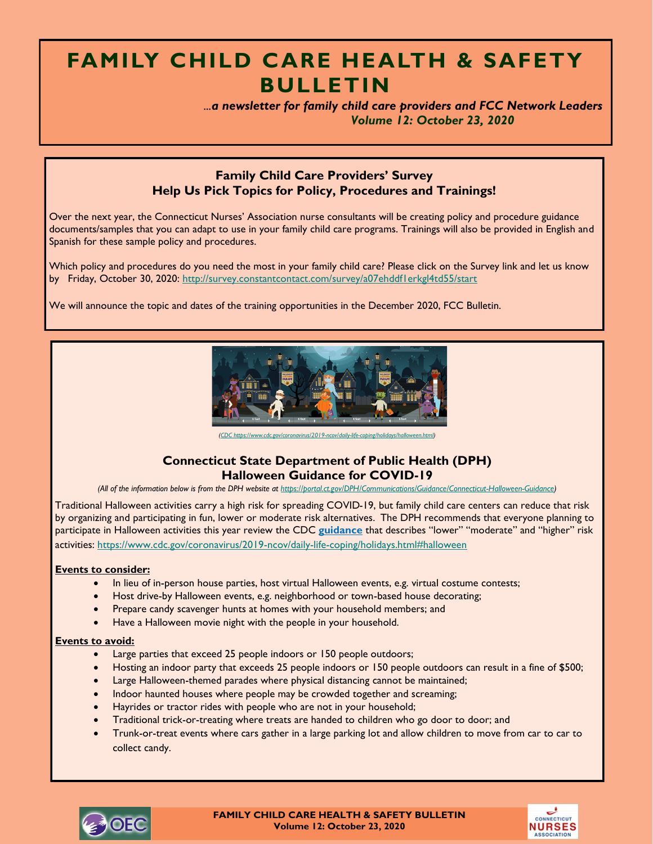# **FAMILY CHILD CARE HEALTH & SAFETY BULLETIN**

 *...a newsletter for family child care providers and FCC Network Leaders Volume 12: October 23, 2020*

## **Family Child Care Providers' Survey Help Us Pick Topics for Policy, Procedures and Trainings!**

Over the next year, the Connecticut Nurses' Association nurse consultants will be creating policy and procedure guidance documents/samples that you can adapt to use in your family child care programs. Trainings will also be provided in English and Spanish for these sample policy and procedures.

Which policy and procedures do you need the most in your family child care? Please click on the Survey link and let us know by Friday, October 30, 2020:<http://survey.constantcontact.com/survey/a07ehddf1erkgl4td55/start>

We will announce the topic and dates of the training opportunities in the December 2020, FCC Bulletin.



*[\(CDC https://www.cdc.gov/coronavirus/2019-ncov/daily-life-coping/holidays/halloween.html\)](CDC%20https:/www.cdc.gov/coronavirus/2019-ncov/daily-life-coping/holidays/halloween.html)*

## **Connecticut State Department of Public Health (DPH) Halloween Guidance for COVID-19**

*(All of the information below is from the DPH website at [https://portal.ct.gov/DPH/Communications/Guidance/Connecticut-Halloween-Guidance\)](https://portal.ct.gov/DPH/Communications/Guidance/Connecticut-Halloween-Guidance)*

Traditional Halloween activities carry a high risk for spreading COVID-19, but family child care centers can reduce that risk by organizing and participating in fun, lower or moderate risk alternatives. The DPH recommends that everyone planning to participate in Halloween activities this year review the CDC **[guidance](https://www.cdc.gov/coronavirus/2019-ncov/daily-life-coping/holidays.html#halloween)** that describes "lower" "moderate" and "higher" risk activities:<https://www.cdc.gov/coronavirus/2019-ncov/daily-life-coping/holidays.html#halloween>

#### **Events to consider:**

- In lieu of in-person house parties, host virtual Halloween events, e.g. virtual costume contests;
- Host drive-by Halloween events, e.g. neighborhood or town-based house decorating;
- Prepare candy scavenger hunts at homes with your household members; and
- Have a Halloween movie night with the people in your household.

#### **Events to avoid:**

- Large parties that exceed 25 people indoors or 150 people outdoors;
- Hosting an indoor party that exceeds 25 people indoors or 150 people outdoors can result in a fine of \$500;
- Large Halloween-themed parades where physical distancing cannot be maintained;
- Indoor haunted houses where people may be crowded together and screaming;
- Hayrides or tractor rides with people who are not in your household;
- Traditional trick-or-treating where treats are handed to children who go door to door; and
- Trunk-or-treat events where cars gather in a large parking lot and allow children to move from car to car to collect candy.



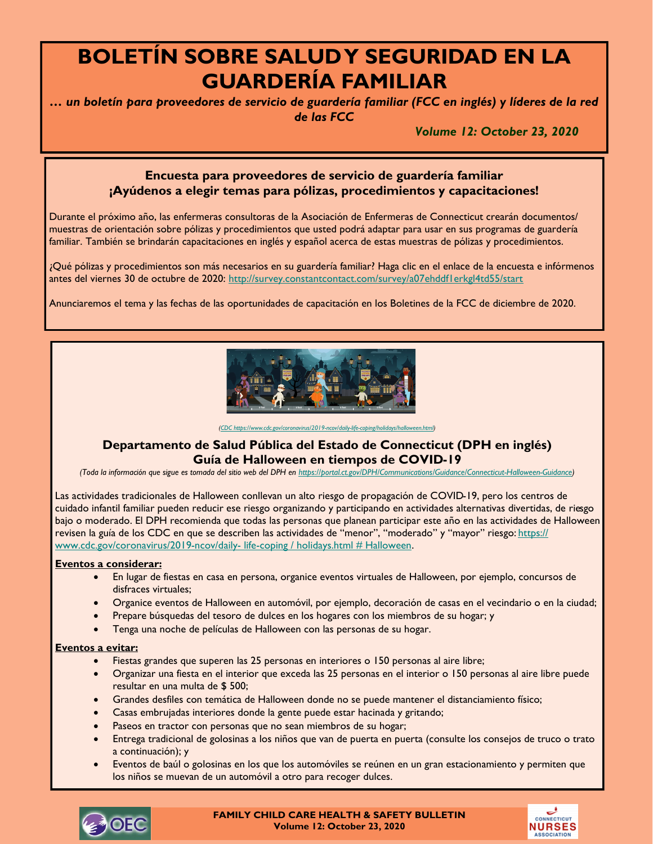# **BOLETÍN SOBRE SALUD Y SEGURIDAD EN LA GUARDERÍA FAMILIAR**

*… un boletín para proveedores de servicio de guardería familiar (FCC en inglés) y líderes de la red de las FCC*

*Volume 12: October 23, 2020*

# **Encuesta para proveedores de servicio de guardería familiar ¡Ayúdenos a elegir temas para pólizas, procedimientos y capacitaciones!**

Durante el próximo año, las enfermeras consultoras de la Asociación de Enfermeras de Connecticut crearán documentos/ muestras de orientación sobre pólizas y procedimientos que usted podrá adaptar para usar en sus programas de guardería familiar. También se brindarán capacitaciones en inglés y español acerca de estas muestras de pólizas y procedimientos.

¿Qué pólizas y procedimientos son más necesarios en su guardería familiar? Haga clic en el enlace de la encuesta e infórmenos antes del viernes 30 de octubre de 2020: <http://survey.constantcontact.com/survey/a07ehddf1erkgl4td55/start>

Anunciaremos el tema y las fechas de las oportunidades de capacitación en los Boletines de la FCC de diciembre de 2020.



*[\(CDC https://www.cdc.gov/coronavirus/2019-ncov/daily-life-coping/holidays/halloween.html\)](CDC%20https:/www.cdc.gov/coronavirus/2019-ncov/daily-life-coping/holidays/halloween.html)*

### **Departamento de Salud Pública del Estado de Connecticut (DPH en inglés) Guía de Halloween en tiempos de COVID-19**

*(Toda la información que sigue es tomada del sitio web del DPH en [https://portal.ct.gov/DPH/Communications/Guidance/Connecticut-Halloween-Guidance\)](about:blank)*

Las actividades tradicionales de Halloween conllevan un alto riesgo de propagación de COVID-19, pero los centros de cuidado infantil familiar pueden reducir ese riesgo organizando y participando en actividades alternativas divertidas, de riesgo bajo o moderado. El DPH recomienda que todas las personas que planean participar este año en las actividades de Halloween revisen la guía de los CDC en que se describen las actividades de "menor", "moderado" y "mayor" riesgo: [https://](https://www.cdc.gov/coronavirus/2019-ncov/daily-%20life-coping%20/%20holidays.html%20# Halloween) [www.cdc.gov/coronavirus/2019-ncov/daily-](https://www.cdc.gov/coronavirus/2019-ncov/daily-%20life-coping%20/%20holidays.html%20# Halloween)life-coping / holidays.html # Halloween.

#### **Eventos a considerar:**

- En lugar de fiestas en casa en persona, organice eventos virtuales de Halloween, por ejemplo, concursos de disfraces virtuales;
- Organice eventos de Halloween en automóvil, por ejemplo, decoración de casas en el vecindario o en la ciudad;
- Prepare búsquedas del tesoro de dulces en los hogares con los miembros de su hogar; y
- Tenga una noche de películas de Halloween con las personas de su hogar.

#### **Eventos a evitar:**

- Fiestas grandes que superen las 25 personas en interiores o 150 personas al aire libre;
- Organizar una fiesta en el interior que exceda las 25 personas en el interior o 150 personas al aire libre puede resultar en una multa de \$ 500;
- Grandes desfiles con temática de Halloween donde no se puede mantener el distanciamiento físico;
- Casas embrujadas interiores donde la gente puede estar hacinada y gritando;
- Paseos en tractor con personas que no sean miembros de su hogar;
- Entrega tradicional de golosinas a los niños que van de puerta en puerta (consulte los consejos de truco o trato a continuación); y
- Eventos de baúl o golosinas en los que los automóviles se reúnen en un gran estacionamiento y permiten que los niños se muevan de un automóvil a otro para recoger dulces.



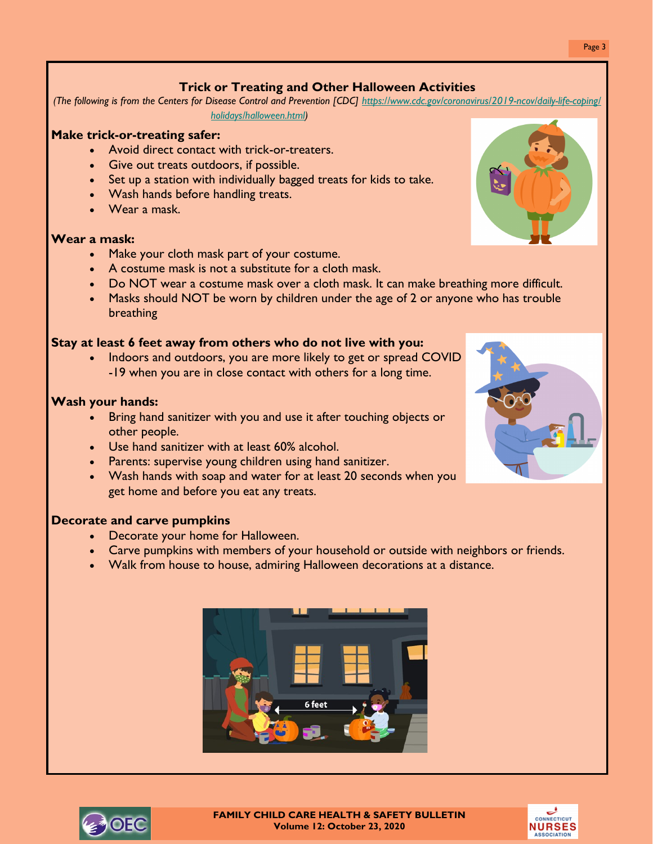# **Trick or Treating and Other Halloween Activities**

*(The following is from the Centers for Disease Control and Prevention [CDC] [https://www.cdc.gov/coronavirus/2019-ncov/daily-life-coping/](https://www.cdc.gov/coronavirus/2019-ncov/daily-life-coping/holidays/halloween.html) [holidays/halloween.html\)](https://www.cdc.gov/coronavirus/2019-ncov/daily-life-coping/holidays/halloween.html)*

### **Make trick-or-treating safer:**

- Avoid direct contact with trick-or-treaters.
- Give out treats outdoors, if possible.
- Set up a station with individually bagged treats for kids to take.
- Wash hands before handling treats.
- Wear a mask.

#### **Wear a mask:**

- Make your cloth mask part of your costume.
- A costume mask is not a substitute for a cloth mask.
- Do NOT wear a costume mask over a cloth mask. It can make breathing more difficult.
- Masks should NOT be worn by children under the age of 2 or anyone who has trouble breathing

### **Stay at least 6 feet away from others who do not live with you:**

• Indoors and outdoors, you are more likely to get or spread COVID -19 when you are in close contact with others for a long time.

#### **Wash your hands:**

- Bring hand sanitizer with you and use it after touching objects or other people.
- Use hand sanitizer with at least 60% alcohol.
- Parents: supervise young children using hand sanitizer.
- Wash hands with soap and water for at least 20 seconds when you get home and before you eat any treats.

### **Decorate and carve pumpkins**

- Decorate your home for Halloween.
- Carve pumpkins with members of your household or outside with neighbors or friends.
- Walk from house to house, admiring Halloween decorations at a distance.